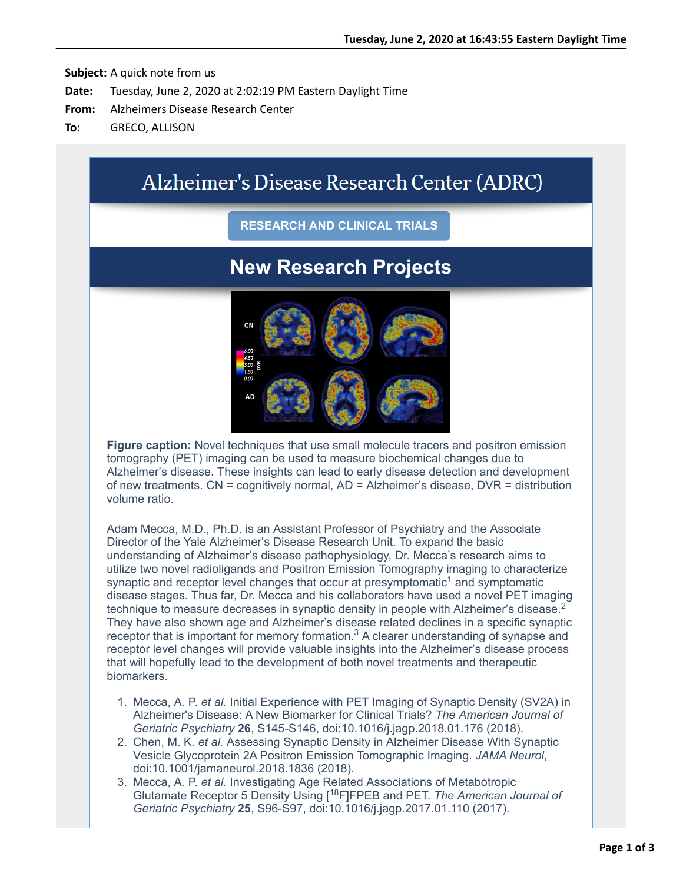# Alzheimer's Disease Research Center (ADRC)

### **RESEARCH AND CLINICAL TRIALS**

## **New Research Projects**



**Figure caption:** Novel techniques that use small molecule tracers and positron emission tomography (PET) imaging can be used to measure biochemical changes due to Alzheimer's disease. These insights can lead to early disease detection and development of new treatments. CN = cognitively normal, AD = Alzheimer's disease, DVR = distribution volume ratio.

Adam Mecca, M.D., Ph.D. is an Assistant Professor of Psychiatry and the Associate Director of the Yale Alzheimer's Disease Research Unit. To expand the basic understanding of Alzheimer's disease pathophysiology, Dr. Mecca's research aims to utilize two novel radioligands and Positron Emission Tomography imaging to characterize synaptic and receptor level changes that occur at presymptomatic<sup>1</sup> and symptomatic disease stages. Thus far, Dr. Mecca and his collaborators have used a novel PET imaging technique to measure decreases in synaptic density in people with Alzheimer's disease.<sup>2</sup> They have also shown age and Alzheimer's disease related declines in a specific synaptic receptor that is important for memory formation.<sup>3</sup> A clearer understanding of synapse and receptor level changes will provide valuable insights into the Alzheimer's disease process that will hopefully lead to the development of both novel treatments and therapeutic biomarkers.

- 1. Mecca, A. P. *et al.* Initial Experience with PET Imaging of Synaptic Density (SV2A) in Alzheimer's Disease: A New Biomarker for Clinical Trials? *The American Journal of Geriatric Psychiatry* **26**, S145-S146, doi:10.1016/j.jagp.2018.01.176 (2018).
- 2. Chen, M. K. *et al.* Assessing Synaptic Density in Alzheimer Disease With Synaptic Vesicle Glycoprotein 2A Positron Emission Tomographic Imaging. *JAMA Neurol*, doi:10.1001/jamaneurol.2018.1836 (2018).
- 3. Mecca, A. P. *et al.* Investigating Age Related Associations of Metabotropic Glutamate Receptor 5 Density Using [18F]FPEB and PET. *The American Journal of Geriatric Psychiatry* **25**, S96-S97, doi:10.1016/j.jagp.2017.01.110 (2017).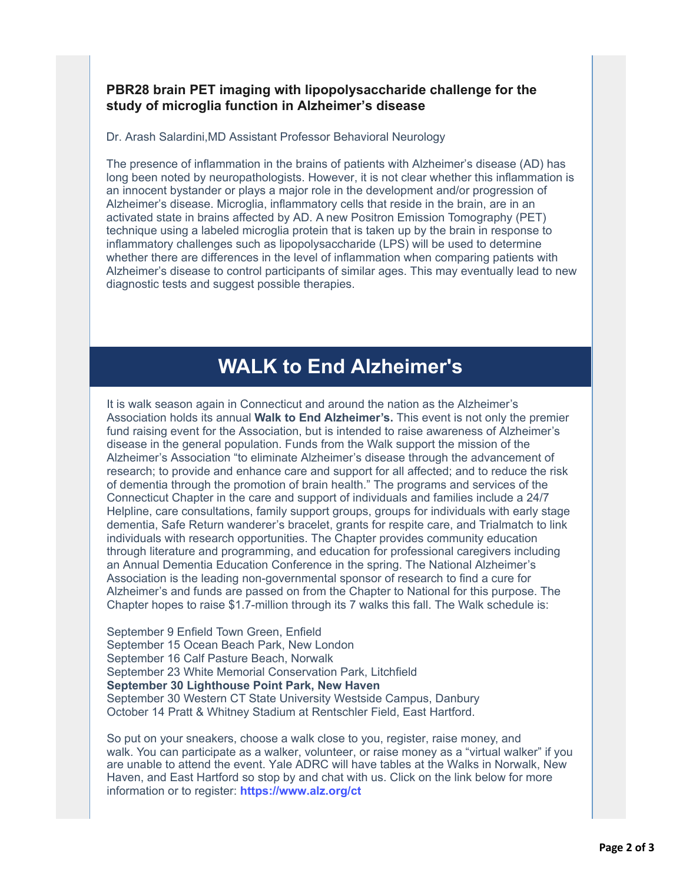### **PBR28 brain PET imaging with lipopolysaccharide challenge for the study of microglia function in Alzheimer's disease**

Dr. Arash Salardini,MD Assistant Professor Behavioral Neurology

The presence of inflammation in the brains of patients with Alzheimer's disease (AD) has long been noted by neuropathologists. However, it is not clear whether this inflammation is an innocent bystander or plays a major role in the development and/or progression of Alzheimer's disease. Microglia, inflammatory cells that reside in the brain, are in an activated state in brains affected by AD. A new Positron Emission Tomography (PET) technique using a labeled microglia protein that is taken up by the brain in response to inflammatory challenges such as lipopolysaccharide (LPS) will be used to determine whether there are differences in the level of inflammation when comparing patients with Alzheimer's disease to control participants of similar ages. This may eventually lead to new diagnostic tests and suggest possible therapies.

## **WALK to End Alzheimer's**

It is walk season again in Connecticut and around the nation as the Alzheimer's Association holds its annual **Walk to End Alzheimer's.** This event is not only the premier fund raising event for the Association, but is intended to raise awareness of Alzheimer's disease in the general population. Funds from the Walk support the mission of the Alzheimer's Association "to eliminate Alzheimer's disease through the advancement of research; to provide and enhance care and support for all affected; and to reduce the risk of dementia through the promotion of brain health." The programs and services of the Connecticut Chapter in the care and support of individuals and families include a 24/7 Helpline, care consultations, family support groups, groups for individuals with early stage dementia, Safe Return wanderer's bracelet, grants for respite care, and Trialmatch to link individuals with research opportunities. The Chapter provides community education through literature and programming, and education for professional caregivers including an Annual Dementia Education Conference in the spring. The National Alzheimer's Association is the leading non-governmental sponsor of research to find a cure for Alzheimer's and funds are passed on from the Chapter to National for this purpose. The Chapter hopes to raise \$1.7-million through its 7 walks this fall. The Walk schedule is:

September 9 Enfield Town Green, Enfield September 15 Ocean Beach Park, New London September 16 Calf Pasture Beach, Norwalk September 23 White Memorial Conservation Park, Litchfield **September 30 Lighthouse Point Park, New Haven** September 30 Western CT State University Westside Campus, Danbury October 14 Pratt & Whitney Stadium at Rentschler Field, East Hartford.

So put on your sneakers, choose a walk close to you, register, raise money, and walk. You can participate as a walker, volunteer, or raise money as a "virtual walker" if you are unable to attend the event. Yale ADRC will have tables at the Walks in Norwalk, New Haven, and East Hartford so stop by and chat with us. Click on the link below for more information or to register: **<https://www.alz.org/ct>**